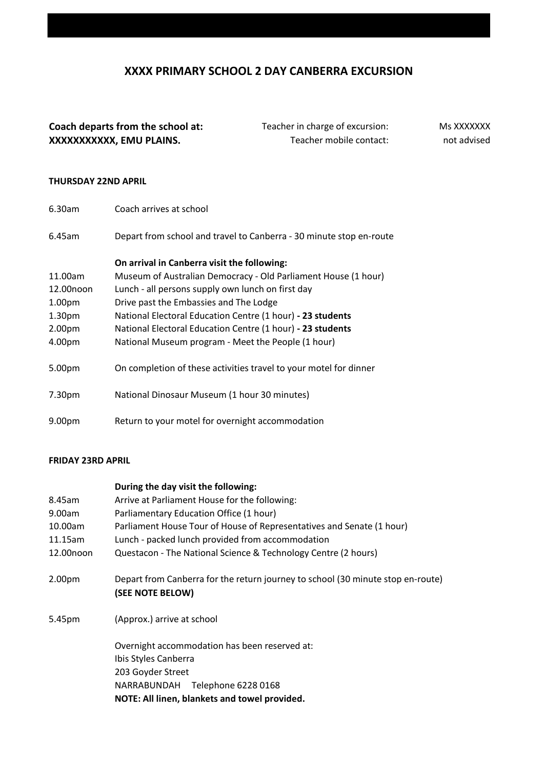# **XXXX PRIMARY SCHOOL 2 DAY CANBERRA EXCURSION**

## **Coach departs from the school at:** Teacher in charge of excursion: **XXXXXXXXXXX, EMU PLAINS.** Teacher mobile contact:

Ms XXXXXXX not advised

#### **THURSDAY 22ND APRIL**

| 6.30am             | Coach arrives at school                                             |  |
|--------------------|---------------------------------------------------------------------|--|
| 6.45am             | Depart from school and travel to Canberra - 30 minute stop en-route |  |
|                    | On arrival in Canberra visit the following:                         |  |
| 11.00am            | Museum of Australian Democracy - Old Parliament House (1 hour)      |  |
| 12.00noon          | Lunch - all persons supply own lunch on first day                   |  |
| 1.00pm             | Drive past the Embassies and The Lodge                              |  |
| 1.30 <sub>pm</sub> | National Electoral Education Centre (1 hour) - 23 students          |  |
| 2.00 <sub>pm</sub> | National Electoral Education Centre (1 hour) - 23 students          |  |
| 4.00pm             | National Museum program - Meet the People (1 hour)                  |  |
| 5.00pm             | On completion of these activities travel to your motel for dinner   |  |
| 7.30pm             | National Dinosaur Museum (1 hour 30 minutes)                        |  |
| 9.00 <sub>pm</sub> | Return to your motel for overnight accommodation                    |  |

#### **FRIDAY 23RD APRIL**

### **During the day visit the following:**

| Arrive at Parliament House for the following:                                                       |  |
|-----------------------------------------------------------------------------------------------------|--|
| Parliamentary Education Office (1 hour)                                                             |  |
| Parliament House Tour of House of Representatives and Senate (1 hour)                               |  |
| Lunch - packed lunch provided from accommodation                                                    |  |
| Questacon - The National Science & Technology Centre (2 hours)                                      |  |
| Depart from Canberra for the return journey to school (30 minute stop en-route)<br>(SEE NOTE BELOW) |  |
| (Approx.) arrive at school                                                                          |  |
| Overnight accommodation has been reserved at:                                                       |  |
| Ibis Styles Canberra                                                                                |  |
| 203 Goyder Street                                                                                   |  |
| NARRABUNDAH Telephone 6228 0168                                                                     |  |
| NOTE: All linen, blankets and towel provided.                                                       |  |
|                                                                                                     |  |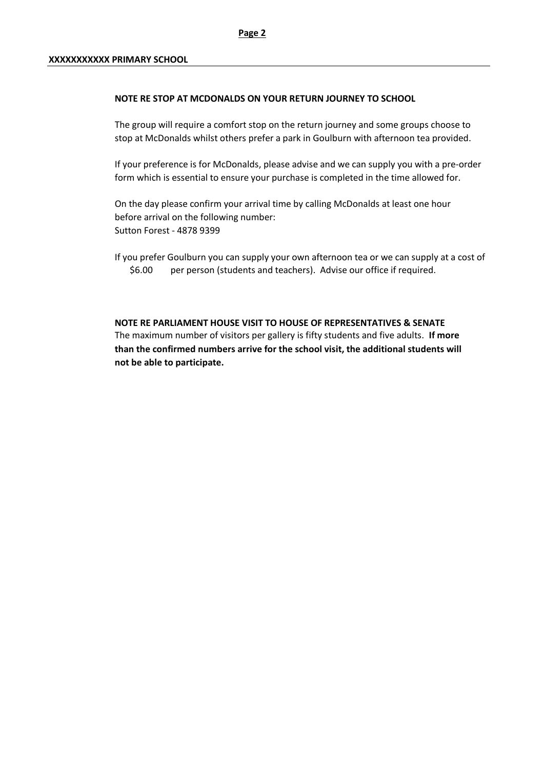#### **NOTE RE STOP AT MCDONALDS ON YOUR RETURN JOURNEY TO SCHOOL**

The group will require a comfort stop on the return journey and some groups choose to stop at McDonalds whilst others prefer a park in Goulburn with afternoon tea provided.

If your preference is for McDonalds, please advise and we can supply you with a pre-order form which is essential to ensure your purchase is completed in the time allowed for.

On the day please confirm your arrival time by calling McDonalds at least one hour before arrival on the following number: Sutton Forest - 4878 9399

If you prefer Goulburn you can supply your own afternoon tea or we can supply at a cost of \$6.00 per person (students and teachers). Advise our office if required.

**NOTE RE PARLIAMENT HOUSE VISIT TO HOUSE OF REPRESENTATIVES & SENATE** The maximum number of visitors per gallery is fifty students and five adults. **If more than the confirmed numbers arrive for the school visit, the additional students will not be able to participate.**